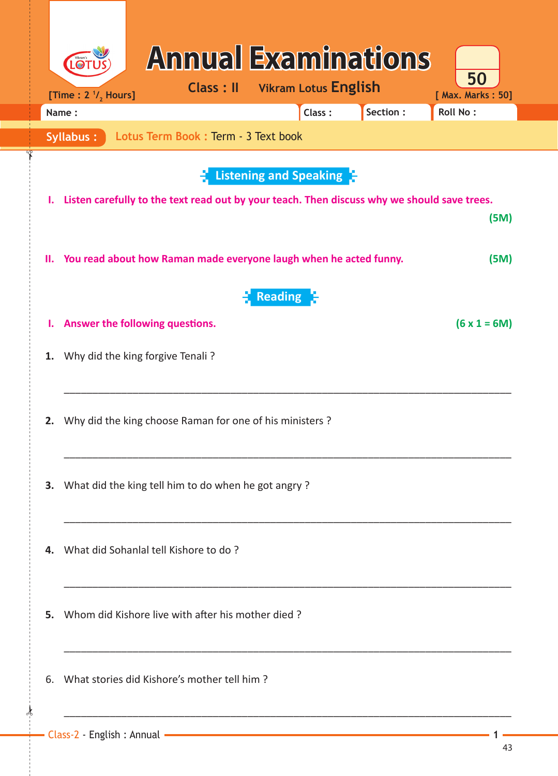|    | [Time : $21$ , Hours]<br>Name: |                                                                                             | <b>Class: II</b> | <b>Vikram Lotus English</b><br>Class: | Section: | 50<br>[ Max. Marks: 50]<br><b>Roll No:</b> |
|----|--------------------------------|---------------------------------------------------------------------------------------------|------------------|---------------------------------------|----------|--------------------------------------------|
|    | <b>Syllabus:</b>               | Lotus Term Book : Term - 3 Text book                                                        |                  |                                       |          |                                            |
|    |                                |                                                                                             |                  | <b>Listening and Speaking F</b>       |          |                                            |
| Ι. |                                | Listen carefully to the text read out by your teach. Then discuss why we should save trees. |                  |                                       |          |                                            |
|    |                                |                                                                                             |                  |                                       |          | (5M)                                       |
| н. |                                | You read about how Raman made everyone laugh when he acted funny.                           |                  |                                       |          | (5M)                                       |
|    |                                |                                                                                             |                  | Reading H                             |          |                                            |
| ι. |                                | Answer the following questions.                                                             |                  |                                       |          | $(6 x 1 = 6M)$                             |
| 1. |                                | Why did the king forgive Tenali?                                                            |                  |                                       |          |                                            |
|    |                                |                                                                                             |                  |                                       |          |                                            |
| 2. |                                | Why did the king choose Raman for one of his ministers ?                                    |                  |                                       |          |                                            |
|    |                                |                                                                                             |                  |                                       |          |                                            |
| З. |                                | What did the king tell him to do when he got angry?                                         |                  |                                       |          |                                            |
|    |                                |                                                                                             |                  |                                       |          |                                            |
| 4. |                                | What did Sohanlal tell Kishore to do?                                                       |                  |                                       |          |                                            |
|    |                                |                                                                                             |                  |                                       |          |                                            |
| 5. |                                | Whom did Kishore live with after his mother died?                                           |                  |                                       |          |                                            |
|    |                                |                                                                                             |                  |                                       |          |                                            |
| 6. |                                | What stories did Kishore's mother tell him?                                                 |                  |                                       |          |                                            |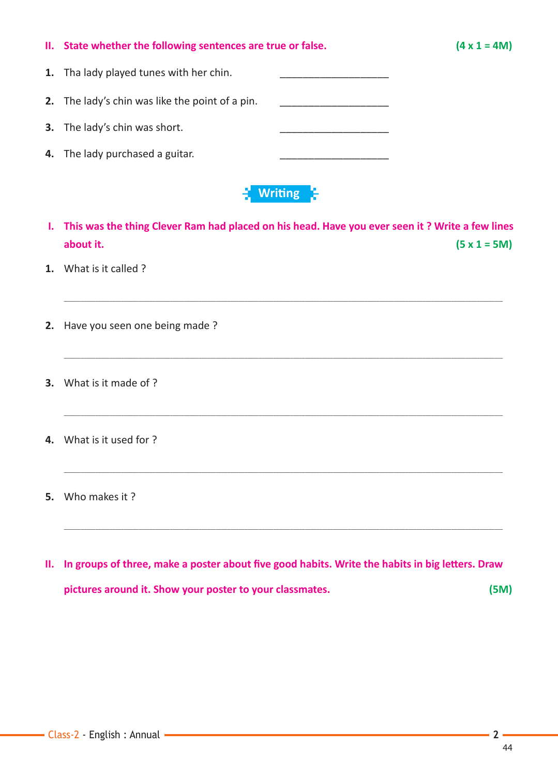|    | II. State whether the following sentences are true or false. | $(4 \times 1 = 4M)$                                                                               |
|----|--------------------------------------------------------------|---------------------------------------------------------------------------------------------------|
| 1. | Tha lady played tunes with her chin.                         |                                                                                                   |
|    | 2. The lady's chin was like the point of a pin.              |                                                                                                   |
| 3. | The lady's chin was short.                                   |                                                                                                   |
| 4. | The lady purchased a guitar.                                 |                                                                                                   |
|    |                                                              | Writing S                                                                                         |
|    |                                                              | I. This was the thing Clever Ram had placed on his head. Have you ever seen it? Write a few lines |
|    | about it.                                                    | $(5 x 1 = 5M)$                                                                                    |
|    | What is it called ?                                          |                                                                                                   |
|    |                                                              |                                                                                                   |

\_\_\_\_\_\_\_\_\_\_\_\_\_\_\_\_\_\_\_\_\_\_\_\_\_\_\_\_\_\_\_\_\_\_\_\_\_\_\_\_\_\_\_\_\_\_\_\_\_\_\_\_\_\_\_\_\_\_\_\_\_\_\_\_\_\_\_\_\_\_\_\_\_\_\_\_\_\_\_\_\_\_\_\_\_\_\_\_\_\_\_\_\_\_\_\_\_\_\_\_\_\_\_\_\_\_\_\_\_\_\_\_\_\_\_\_\_\_\_\_\_\_\_\_\_\_\_\_\_\_\_\_\_\_\_\_\_\_\_\_\_\_\_\_\_\_\_\_\_\_\_\_\_

\_\_\_\_\_\_\_\_\_\_\_\_\_\_\_\_\_\_\_\_\_\_\_\_\_\_\_\_\_\_\_\_\_\_\_\_\_\_\_\_\_\_\_\_\_\_\_\_\_\_\_\_\_\_\_\_\_\_\_\_\_\_\_\_\_\_\_\_\_\_\_\_\_\_\_\_\_\_\_\_\_\_\_\_\_\_\_\_\_\_\_\_\_\_\_\_\_\_\_\_\_\_\_\_\_\_\_\_\_\_\_\_\_\_\_\_\_\_\_\_\_\_\_\_\_\_\_\_\_\_\_\_\_\_\_\_\_\_\_\_\_\_\_\_\_\_\_\_\_\_\_\_\_

\_\_\_\_\_\_\_\_\_\_\_\_\_\_\_\_\_\_\_\_\_\_\_\_\_\_\_\_\_\_\_\_\_\_\_\_\_\_\_\_\_\_\_\_\_\_\_\_\_\_\_\_\_\_\_\_\_\_\_\_\_\_\_\_\_\_\_\_\_\_\_\_\_\_\_\_\_\_\_\_\_\_\_\_\_\_\_\_\_\_\_\_\_\_\_\_\_\_\_\_\_\_\_\_\_\_\_\_\_\_\_\_\_\_\_\_\_\_\_\_\_\_\_\_\_\_\_\_\_\_\_\_\_\_\_\_\_\_\_\_\_\_\_\_\_\_\_\_\_\_\_\_\_

\_\_\_\_\_\_\_\_\_\_\_\_\_\_\_\_\_\_\_\_\_\_\_\_\_\_\_\_\_\_\_\_\_\_\_\_\_\_\_\_\_\_\_\_\_\_\_\_\_\_\_\_\_\_\_\_\_\_\_\_\_\_\_\_\_\_\_\_\_\_\_\_\_\_\_\_\_\_\_\_\_\_\_\_\_\_\_\_\_\_\_\_\_\_\_\_\_\_\_\_\_\_\_\_\_\_\_\_\_\_\_\_\_\_\_\_\_\_\_\_\_\_\_\_\_\_\_\_\_\_\_\_\_\_\_\_\_\_\_\_\_\_\_\_\_\_\_\_\_\_\_\_\_

\_\_\_\_\_\_\_\_\_\_\_\_\_\_\_\_\_\_\_\_\_\_\_\_\_\_\_\_\_\_\_\_\_\_\_\_\_\_\_\_\_\_\_\_\_\_\_\_\_\_\_\_\_\_\_\_\_\_\_\_\_\_\_\_\_\_\_\_\_\_\_\_\_\_\_\_\_\_\_\_\_\_\_\_\_\_\_\_\_\_\_\_\_\_\_\_\_\_\_\_\_\_\_\_\_\_\_\_\_\_\_\_\_\_\_\_\_\_\_\_\_\_\_\_\_\_\_\_\_\_\_\_\_\_\_\_\_\_\_\_\_\_\_\_\_\_\_\_\_\_\_\_\_

- **2.** Have you seen one being made ?
- **3.** What is it made of ?
- **4.** What is it used for ?
- **5.** Who makes it ?
- **II.** In groups of three, make a poster about five good habits. Write the habits in big letters. Draw **pictures around it. Show your poster to your classmates. (5M)**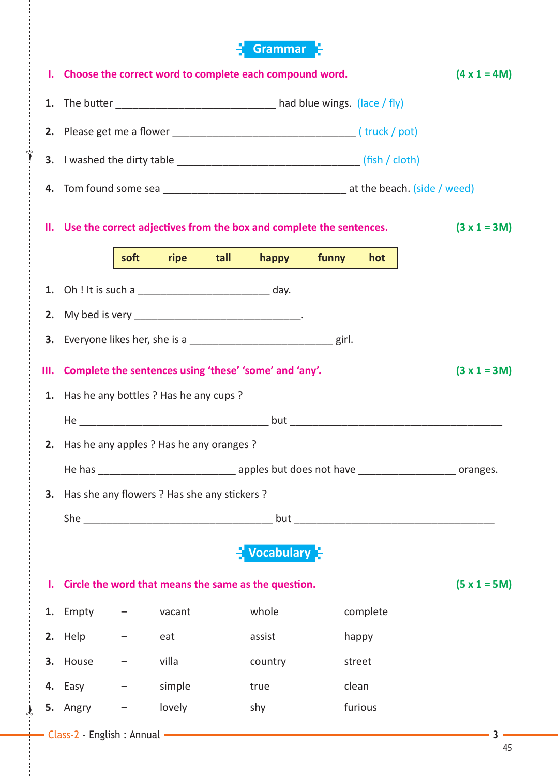## **Grammar**

| L. | Choose the correct word to complete each compound word.                   |      |                                |      | $(4 \times 1 = 4M)$                                                            |                |          |  |       |
|----|---------------------------------------------------------------------------|------|--------------------------------|------|--------------------------------------------------------------------------------|----------------|----------|--|-------|
|    | 1. The butter _____________________________ had blue wings. (lace / fly)  |      |                                |      |                                                                                |                |          |  |       |
|    |                                                                           |      |                                |      |                                                                                |                |          |  |       |
|    |                                                                           |      |                                |      |                                                                                |                |          |  |       |
|    |                                                                           |      |                                |      |                                                                                |                |          |  |       |
|    | II. Use the correct adjectives from the box and complete the sentences.   |      |                                |      |                                                                                | $(3 x 1 = 3M)$ |          |  |       |
|    |                                                                           | soft | ripe                           | tall | happy                                                                          | funny          | hot      |  |       |
|    |                                                                           |      |                                |      |                                                                                |                |          |  |       |
| 2. |                                                                           |      |                                |      |                                                                                |                |          |  |       |
|    |                                                                           |      |                                |      | <b>3.</b> Everyone likes her, she is a _________________________________ girl. |                |          |  |       |
| Ш. | Complete the sentences using 'these' 'some' and 'any'.<br>$(3 x 1 = 3M)$  |      |                                |      |                                                                                |                |          |  |       |
| 1. | Has he any bottles ? Has he any cups ?                                    |      |                                |      |                                                                                |                |          |  |       |
|    |                                                                           |      |                                |      |                                                                                |                |          |  |       |
|    | 2. Has he any apples ? Has he any oranges ?                               |      |                                |      |                                                                                |                |          |  |       |
|    |                                                                           |      |                                |      |                                                                                |                |          |  |       |
|    | 3. Has she any flowers ? Has she any stickers ?                           |      |                                |      |                                                                                |                |          |  |       |
|    |                                                                           |      |                                |      |                                                                                |                |          |  |       |
|    | $\frac{1}{2}$ Vocabulary $\frac{1}{2}$                                    |      |                                |      |                                                                                |                |          |  |       |
|    | $(5 x 1 = 5M)$<br>I. Circle the word that means the same as the question. |      |                                |      |                                                                                |                |          |  |       |
|    | 1. Empty                                                                  |      | vacant                         |      | whole                                                                          |                | complete |  |       |
|    | 2. Help                                                                   |      | eat                            |      | assist                                                                         |                | happy    |  |       |
|    | 3. House $-$                                                              |      | villa                          |      | country                                                                        |                | street   |  |       |
|    | 4. Easy $-$                                                               |      | simple                         |      | true                                                                           |                | clean    |  |       |
|    | 5. Angry                                                                  |      | lovely                         |      | shy                                                                            |                | furious  |  |       |
|    |                                                                           |      | - Class-2 - English : Annual - |      |                                                                                |                |          |  | $-3-$ |

 $\frac{1}{2}$ 

✁